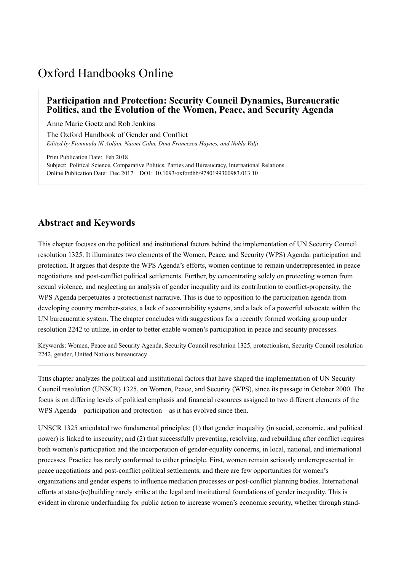# [Oxford Handbooks Online](http://www.oxfordhandbooks.com/)

#### **Participation and Protection: Security Council Dynamics, Bureaucratic Politics, and the Evolution of the Women, Peace, and Security Agenda**

Anne Marie Goetz and Rob Jenkins

The Oxford [Handbook](http://www.oxfordhandbooks.com/view/10.1093/oxfordhb/9780199300983.001.0001/oxfordhb-9780199300983) of Gender and Conflict *Edited by Fionnuala Ní Aoláin, Naomi Cahn, Dina Francesca Haynes, and Nahla Valji*

Print Publication Date: Feb 2018 Subject: Political Science, Comparative Politics, Parties and Bureaucracy, International Relations Online Publication Date: Dec 2017 DOI: 10.1093/oxfordhb/9780199300983.013.10

#### **Abstract and Keywords**

This chapter focuses on the political and institutional factors behind the implementation of UN Security Council resolution 1325. It illuminates two elements of the Women, Peace, and Security (WPS) Agenda: participation and protection. It argues that despite the WPS Agenda's efforts, women continue to remain underrepresented in peace negotiations and post-conflict political settlements. Further, by concentrating solely on protecting women from sexual violence, and neglecting an analysis of gender inequality and its contribution to conflict-propensity, the WPS Agenda perpetuates a protectionist narrative. This is due to opposition to the participation agenda from developing country member-states, a lack of accountability systems, and a lack of a powerful advocate within the UN bureaucratic system. The chapter concludes with suggestions for a recently formed working group under resolution 2242 to utilize, in order to better enable women's participation in peace and security processes.

Keywords: [Women](http://www.oxfordhandbooks.com/search?f_0=keyword&q_0=Women), Peace and [Security](http://www.oxfordhandbooks.com/search?f_0=keyword&q_0=Peace%20and%20Security%20Agenda) Agenda, Security Council [resolution](http://www.oxfordhandbooks.com/search?f_0=keyword&q_0=Security%20Council%20resolution%201325) 1325, [p](http://www.oxfordhandbooks.com/search?f_0=keyword&q_0=Security%20Council%20resolution%202242)[rotectionis](http://www.oxfordhandbooks.com/search?f_0=keyword&q_0=protectionism)[m,](http://www.oxfordhandbooks.com/search?f_0=keyword&q_0=Security%20Council%20resolution%202242) Security Council resolution 2242, [gender](http://www.oxfordhandbooks.com/search?f_0=keyword&q_0=gender), United Nations [bureaucracy](http://www.oxfordhandbooks.com/search?f_0=keyword&q_0=United%20Nations%20bureaucracy)

THIS chapter analyzes the political and institutional factors that have shaped the implementation of UN Security Council resolution (UNSCR) 1325, on Women, Peace, and Security (WPS), since its passage in October 2000. The focus is on differing levels of political emphasis and financial resources assigned to two different elements of the WPS Agenda—participation and protection—as it has evolved since then.

UNSCR 1325 articulated two fundamental principles: (1) that gender inequality (in social, economic, and political power) is linked to insecurity; and (2) that successfully preventing, resolving, and rebuilding after conflict requires both women's participation and the incorporation of gender-equality concerns, in local, national, and international processes. Practice has rarely conformed to either principle. First, women remain seriously underrepresented in peace negotiations and post-conflict political settlements, and there are few opportunities for women's organizations and gender experts to influence mediation processes or post-conflict planning bodies. International efforts at state-(re)building rarely strike at the legal and institutional foundations of gender inequality. This is evident in chronic underfunding for public action to increase women's economic security, whether through stand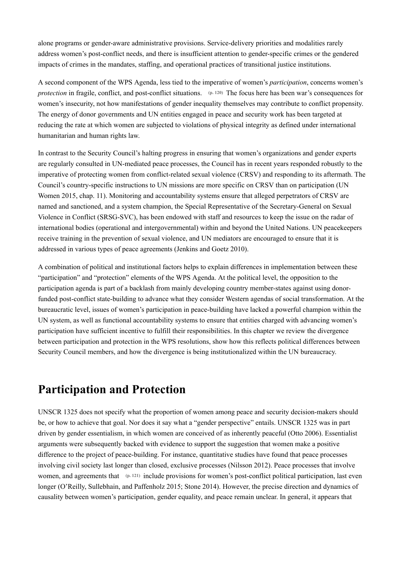alone programs or gender-aware administrative provisions. Service-delivery priorities and modalities rarely address women's post-conflict needs, and there is insufficient attention to gender-specific crimes or the gendered impacts of crimes in the mandates, staffing, and operational practices of transitional justice institutions.

A second component of the WPS Agenda, less tied to the imperative of women's *participation*, concerns women's *protection* in fragile, conflict, and post-conflict situations. **(p. 120)** The focus here has been war's consequences for women's insecurity, not how manifestations of gender inequality themselves may contribute to conflict propensity. The energy of donor governments and UN entities engaged in peace and security work has been targeted at reducing the rate at which women are subjected to violations of physical integrity as defined under international humanitarian and human rights law.

In contrast to the Security Council's halting progress in ensuring that women's organizations and gender experts are regularly consulted in UN-mediated peace processes, the Council has in recent years responded robustly to the imperative of protecting women from conflict-related sexual violence (CRSV) and responding to its aftermath. The [Council's country-specific instructions to UN missions are more specific on CRSV than on participation \(UN](#page-11-0) Women 2015, chap. 11). Monitoring and accountability systems ensure that alleged perpetrators of CRSV are named and sanctioned, and a system champion, the Special Representative of the Secretary-General on Sexual Violence in Conflict (SRSG-SVC), has been endowed with staff and resources to keep the issue on the radar of international bodies (operational and intergovernmental) within and beyond the United Nations. UN peacekeepers receive training in the prevention of sexual violence, and UN mediators are encouraged to ensure that it is addressed in various types of peace agreements [\(Jenkins and Goetz 2010](#page-10-0)).

A combination of political and institutional factors helps to explain differences in implementation between these "participation" and "protection" elements of the WPS Agenda. At the political level, the opposition to the participation agenda is part of a backlash from mainly developing country member-states against using donorfunded post-conflict state-building to advance what they consider Western agendas of social transformation. At the bureaucratic level, issues of women's participation in peace-building have lacked a powerful champion within the UN system, as well as functional accountability systems to ensure that entities charged with advancing women's participation have sufficient incentive to fulfill their responsibilities. In this chapter we review the divergence between participation and protection in the WPS resolutions, show how this reflects political differences between Security Council members, and how the divergence is being institutionalized within the UN bureaucracy.

### **Participation and Protection**

UNSCR 1325 does not specify what the proportion of women among peace and security decision-makers should be, or how to achieve that goal. Nor does it say what a "gender perspective" entails. UNSCR 1325 was in part driven by gender essentialism, in which women are conceived of as inherently peaceful ([Otto 2006](#page-10-1)). Essentialist arguments were subsequently backed with evidence to support the suggestion that women make a positive difference to the project of peace-building. For instance, quantitative studies have found that peace processes involving civil society last longer than closed, exclusive processes [\(Nilsson 2012](#page-10-2)). Peace processes that involve women, and agreements that  $(p. 121)$  include provisions for women's post-conflict political participation, last even longer ([O'Reilly, Sullebhain, and Paffenholz 2015](#page-10-3); [Stone 2014](#page-10-4)). However, the precise direction and dynamics of causality between women's participation, gender equality, and peace remain unclear. In general, it appears that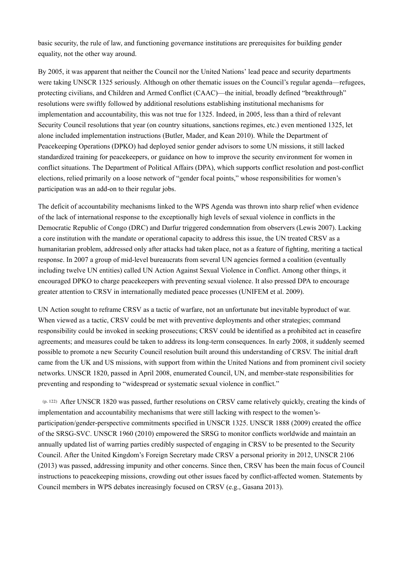basic security, the rule of law, and functioning governance institutions are prerequisites for building gender equality, not the other way around.

By 2005, it was apparent that neither the Council nor the United Nations' lead peace and security departments were taking UNSCR 1325 seriously. Although on other thematic issues on the Council's regular agenda—refugees, protecting civilians, and Children and Armed Conflict (CAAC)—the initial, broadly defined "breakthrough" resolutions were swiftly followed by additional resolutions establishing institutional mechanisms for implementation and accountability, this was not true for 1325. Indeed, in 2005, less than a third of relevant Security Council resolutions that year (on country situations, sanctions regimes, etc.) even mentioned 1325, let alone included implementation instructions [\(Butler, Mader, and Kean 2010\)](#page-9-0). While the Department of Peacekeeping Operations (DPKO) had deployed senior gender advisors to some UN missions, it still lacked standardized training for peacekeepers, or guidance on how to improve the security environment for women in conflict situations. The Department of Political Affairs (DPA), which supports conflict resolution and post-conflict elections, relied primarily on a loose network of "gender focal points," whose responsibilities for women's participation was an add-on to their regular jobs.

The deficit of accountability mechanisms linked to the WPS Agenda was thrown into sharp relief when evidence of the lack of international response to the exceptionally high levels of sexual violence in conflicts in the Democratic Republic of Congo (DRC) and Darfur triggered condemnation from observers [\(Lewis 2007\)](#page-10-5). Lacking a core institution with the mandate or operational capacity to address this issue, the UN treated CRSV as a humanitarian problem, addressed only after attacks had taken place, not as a feature of fighting, meriting a tactical response. In 2007 a group of mid-level bureaucrats from several UN agencies formed a coalition (eventually including twelve UN entities) called UN Action Against Sexual Violence in Conflict. Among other things, it encouraged DPKO to charge peacekeepers with preventing sexual violence. It also pressed DPA to encourage greater attention to CRSV in internationally mediated peace processes ([UNIFEM et al. 2009\)](#page-11-1).

UN Action sought to reframe CRSV as a tactic of warfare, not an unfortunate but inevitable byproduct of war. When viewed as a tactic, CRSV could be met with preventive deployments and other strategies; command responsibility could be invoked in seeking prosecutions; CRSV could be identified as a prohibited act in ceasefire agreements; and measures could be taken to address its long-term consequences. In early 2008, it suddenly seemed possible to promote a new Security Council resolution built around this understanding of CRSV. The initial draft came from the UK and US missions, with support from within the United Nations and from prominent civil society networks. UNSCR 1820, passed in April 2008, enumerated Council, UN, and member-state responsibilities for preventing and responding to "widespread or systematic sexual violence in conflict."

**(p. 122)** After UNSCR 1820 was passed, further resolutions on CRSV came relatively quickly, creating the kinds of implementation and accountability mechanisms that were still lacking with respect to the women'sparticipation/gender-perspective commitments specified in UNSCR 1325. UNSCR 1888 (2009) created the office of the SRSG-SVC. UNSCR 1960 (2010) empowered the SRSG to monitor conflicts worldwide and maintain an annually updated list of warring parties credibly suspected of engaging in CRSV to be presented to the Security Council. After the United Kingdom's Foreign Secretary made CRSV a personal priority in 2012, UNSCR 2106 (2013) was passed, addressing impunity and other concerns. Since then, CRSV has been the main focus of Council instructions to peacekeeping missions, crowding out other issues faced by conflict-affected women. Statements by Council members in WPS debates increasingly focused on CRSV (e.g., [Gasana 2013\)](#page-9-1).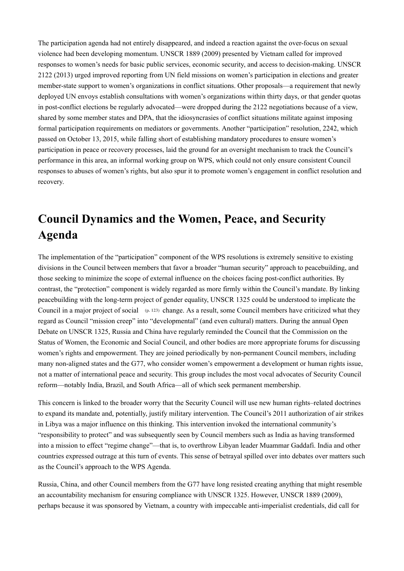The participation agenda had not entirely disappeared, and indeed a reaction against the over-focus on sexual violence had been developing momentum. UNSCR 1889 (2009) presented by Vietnam called for improved responses to women's needs for basic public services, economic security, and access to decision-making. UNSCR 2122 (2013) urged improved reporting from UN field missions on women's participation in elections and greater member-state support to women's organizations in conflict situations. Other proposals—a requirement that newly deployed UN envoys establish consultations with women's organizations within thirty days, or that gender quotas in post-conflict elections be regularly advocated—were dropped during the 2122 negotiations because of a view, shared by some member states and DPA, that the idiosyncrasies of conflict situations militate against imposing formal participation requirements on mediators or governments. Another "participation" resolution, 2242, which passed on October 13, 2015, while falling short of establishing mandatory procedures to ensure women's participation in peace or recovery processes, laid the ground for an oversight mechanism to track the Council's performance in this area, an informal working group on WPS, which could not only ensure consistent Council responses to abuses of women's rights, but also spur it to promote women's engagement in conflict resolution and recovery.

# **Council Dynamics and the Women, Peace, and Security Agenda**

The implementation of the "participation" component of the WPS resolutions is extremely sensitive to existing divisions in the Council between members that favor a broader "human security" approach to peacebuilding, and those seeking to minimize the scope of external influence on the choices facing post-conflict authorities. By contrast, the "protection" component is widely regarded as more firmly within the Council's mandate. By linking peacebuilding with the long-term project of gender equality, UNSCR 1325 could be understood to implicate the Council in a major project of social **(p. 123)** change. As a result, some Council members have criticized what they regard as Council "mission creep" into "developmental" (and even cultural) matters. During the annual Open Debate on UNSCR 1325, Russia and China have regularly reminded the Council that the Commission on the Status of Women, the Economic and Social Council, and other bodies are more appropriate forums for discussing women's rights and empowerment. They are joined periodically by non-permanent Council members, including many non-aligned states and the G77, who consider women's empowerment a development or human rights issue, not a matter of international peace and security. This group includes the most vocal advocates of Security Council reform—notably India, Brazil, and South Africa—all of which seek permanent membership.

This concern is linked to the broader worry that the Security Council will use new human rights–related doctrines to expand its mandate and, potentially, justify military intervention. The Council's 2011 authorization of air strikes in Libya was a major influence on this thinking. This intervention invoked the international community's "responsibility to protect" and was subsequently seen by Council members such as India as having transformed into a mission to effect "regime change"—that is, to overthrow Libyan leader Muammar Gaddafi. India and other countries expressed outrage at this turn of events. This sense of betrayal spilled over into debates over matters such as the Council's approach to the WPS Agenda.

Russia, China, and other Council members from the G77 have long resisted creating anything that might resemble an accountability mechanism for ensuring compliance with UNSCR 1325. However, UNSCR 1889 (2009), perhaps because it was sponsored by Vietnam, a country with impeccable anti-imperialist credentials, did call for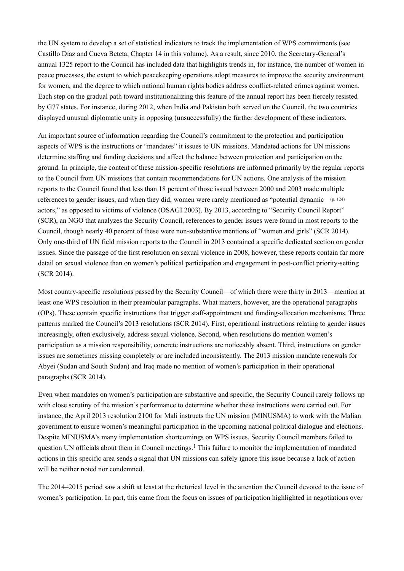the UN system to develop a set of statistical indicators to track the implementation of WPS commitments (see Castillo Díaz and Cueva Beteta, Chapter [14](http://www.oxfordhandbooks.com/view/10.1093/oxfordhb/9780199300983.001.0001/oxfordhb-9780199300983-e-15#) in this volume). As a result, since 2010, the Secretary-General's annual 1325 report to the Council has included data that highlights trends in, for instance, the number of women in peace processes, the extent to which peacekeeping operations adopt measures to improve the security environment for women, and the degree to which national human rights bodies address conflict-related crimes against women. Each step on the gradual path toward institutionalizing this feature of the annual report has been fiercely resisted by G77 states. For instance, during 2012, when India and Pakistan both served on the Council, the two countries displayed unusual diplomatic unity in opposing (unsuccessfully) the further development of these indicators.

An important source of information regarding the Council's commitment to the protection and participation aspects of WPS is the instructions or "mandates" it issues to UN missions. Mandated actions for UN missions determine staffing and funding decisions and affect the balance between protection and participation on the ground. In principle, the content of these mission-specific resolutions are informed primarily by the regular reports to the Council from UN missions that contain recommendations for UN actions. One analysis of the mission reports to the Council found that less than 18 percent of those issued between 2000 and 2003 made multiple references to gender issues, and when they did, women were rarely mentioned as "potential dynamic **(p. 124)** actors," as opposed to victims of violence ([OSAGI 2003](#page-10-6)). By 2013, according to "Security Council Report" (SCR), an NGO that analyzes the Security Council, references to gender issues were found in most reports to the Council, though nearly 40 percent of these were non-substantive mentions of "women and girls" ([SCR 2014\)](#page-10-7). Only one-third of UN field mission reports to the Council in 2013 contained a specific dedicated section on gender issues. Since the passage of the first resolution on sexual violence in 2008, however, these reports contain far more detail on sexual violence than on women's political participation and engagement in post-conflict priority-setting ([SCR 2014\)](#page-10-7).

Most country-specific resolutions passed by the Security Council—of which there were thirty in 2013—mention at least one WPS resolution in their preambular paragraphs. What matters, however, are the operational paragraphs (OPs). These contain specific instructions that trigger staff-appointment and funding-allocation mechanisms. Three patterns marked the Council's 2013 resolutions [\(SCR 2014\)](#page-10-7). First, operational instructions relating to gender issues increasingly, often exclusively, address sexual violence. Second, when resolutions do mention women's participation as a mission responsibility, concrete instructions are noticeably absent. Third, instructions on gender issues are sometimes missing completely or are included inconsistently. The 2013 mission mandate renewals for Abyei (Sudan and South Sudan) and Iraq made no mention of women's participation in their operational paragraphs ([SCR 2014\)](#page-10-7).

Even when mandates on women's participation are substantive and specific, the Security Council rarely follows up with close scrutiny of the mission's performance to determine whether these instructions were carried out. For instance, the April 2013 resolution 2100 for Mali instructs the UN mission (MINUSMA) to work with the Malian government to ensure women's meaningful participation in the upcoming national political dialogue and elections. Despite MINUSMA's many implementation shortcomings on WPS issues, Security Council members failed to questionUN officials about them in Council meetings.<sup>1</sup> This failure to monitor the implementation of mandated actions in this specific area sends a signal that UN missions can safely ignore this issue because a lack of action will be neither noted nor condemned.

<span id="page-4-0"></span>The 2014–2015 period saw a shift at least at the rhetorical level in the attention the Council devoted to the issue of women's participation. In part, this came from the focus on issues of participation highlighted in negotiations over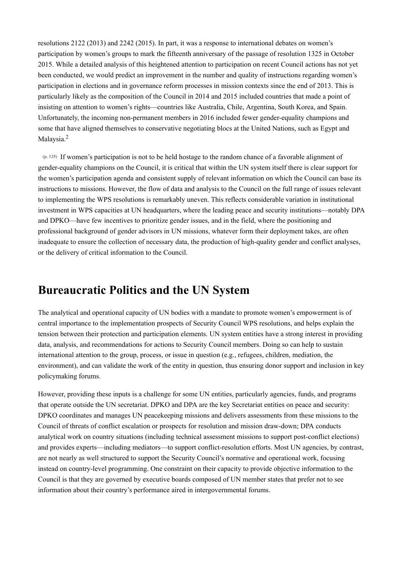resolutions 2122 (2013) and 2242 (2015). In part, it was a response to international debates on women's participation by women's groups to mark the fifteenth anniversary of the passage of resolution 1325 in October 2015. While a detailed analysis of this heightened attention to participation on recent Council actions has not yet been conducted, we would predict an improvement in the number and quality of instructions regarding women's participation in elections and in governance reform processes in mission contexts since the end of 2013. This is particularly likely as the composition of the Council in 2014 and 2015 included countries that made a point of insisting on attention to women's rights—countries like Australia, Chile, Argentina, South Korea, and Spain. Unfortunately, the incoming non-permanent members in 2016 included fewer gender-equality champions and some that have aligned themselves to conservative negotiating blocs at the United Nations, such as Egypt and Malaysia.<sup>[2](#page-11-3)</sup>

<span id="page-5-0"></span>**(p. 125)** If women's participation is not to be held hostage to the random chance of a favorable alignment of gender-equality champions on the Council, it is critical that within the UN system itself there is clear support for the women's participation agenda and consistent supply of relevant information on which the Council can base its instructions to missions. However, the flow of data and analysis to the Council on the full range of issues relevant to implementing the WPS resolutions is remarkably uneven. This reflects considerable variation in institutional investment in WPS capacities at UN headquarters, where the leading peace and security institutions—notably DPA and DPKO—have few incentives to prioritize gender issues, and in the field, where the positioning and professional background of gender advisors in UN missions, whatever form their deployment takes, are often inadequate to ensure the collection of necessary data, the production of high-quality gender and conflict analyses, or the delivery of critical information to the Council.

# **Bureaucratic Politics and the UN System**

The analytical and operational capacity of UN bodies with a mandate to promote women's empowerment is of central importance to the implementation prospects of Security Council WPS resolutions, and helps explain the tension between their protection and participation elements. UN system entities have a strong interest in providing data, analysis, and recommendations for actions to Security Council members. Doing so can help to sustain international attention to the group, process, or issue in question (e.g., refugees, children, mediation, the environment), and can validate the work of the entity in question, thus ensuring donor support and inclusion in key policymaking forums.

However, providing these inputs is a challenge for some UN entities, particularly agencies, funds, and programs that operate outside the UN secretariat. DPKO and DPA are the key Secretariat entities on peace and security: DPKO coordinates and manages UN peacekeeping missions and delivers assessments from these missions to the Council of threats of conflict escalation or prospects for resolution and mission draw-down; DPA conducts analytical work on country situations (including technical assessment missions to support post-conflict elections) and provides experts—including mediators—to support conflict-resolution efforts. Most UN agencies, by contrast, are not nearly as well structured to support the Security Council's normative and operational work, focusing instead on country-level programming. One constraint on their capacity to provide objective information to the Council is that they are governed by executive boards composed of UN member states that prefer not to see information about their country's performance aired in intergovernmental forums.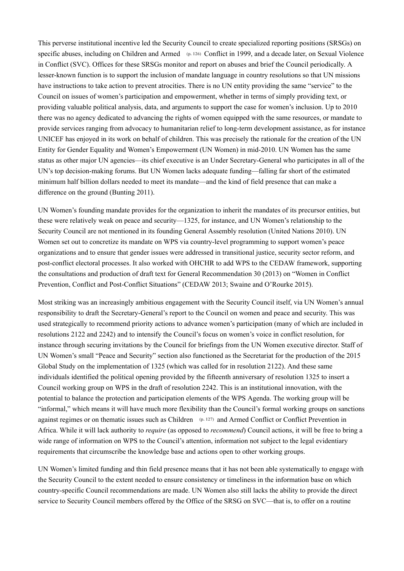This perverse institutional incentive led the Security Council to create specialized reporting positions (SRSGs) on specific abuses, including on Children and Armed (p. 126)<sup></sup> Conflict in 1999, and a decade later, on Sexual Violence in Conflict (SVC). Offices for these SRSGs monitor and report on abuses and brief the Council periodically. A lesser-known function is to support the inclusion of mandate language in country resolutions so that UN missions have instructions to take action to prevent atrocities. There is no UN entity providing the same "service" to the Council on issues of women's participation and empowerment, whether in terms of simply providing text, or providing valuable political analysis, data, and arguments to support the case for women's inclusion. Up to 2010 there was no agency dedicated to advancing the rights of women equipped with the same resources, or mandate to provide services ranging from advocacy to humanitarian relief to long-term development assistance, as for instance UNICEF has enjoyed in its work on behalf of children. This was precisely the rationale for the creation of the UN Entity for Gender Equality and Women's Empowerment (UN Women) in mid-2010. UN Women has the same status as other major UN agencies—its chief executive is an Under Secretary-General who participates in all of the UN's top decision-making forums. But UN Women lacks adequate funding—falling far short of the estimated minimum half billion dollars needed to meet its mandate—and the kind of field presence that can make a difference on the ground [\(Bunting 2011\)](#page-9-2).

UN Women's founding mandate provides for the organization to inherit the mandates of its precursor entities, but these were relatively weak on peace and security—1325, for instance, and UN Women's relationship to the Security Council are not mentioned in its founding General Assembly resolution [\(United Nations 2010\)](#page-11-4). UN Women set out to concretize its mandate on WPS via country-level programming to support women's peace organizations and to ensure that gender issues were addressed in transitional justice, security sector reform, and post-conflict electoral processes. It also worked with OHCHR to add WPS to the CEDAW framework, supporting the consultations and production of draft text for General Recommendation 30 (2013) on "Women in Conflict Prevention, Conflict and Post-Conflict Situations" [\(CEDAW 2013](#page-9-3); [Swaine and O'Rourke 2015](#page-11-5)).

Most striking was an increasingly ambitious engagement with the Security Council itself, via UN Women's annual responsibility to draft the Secretary-General's report to the Council on women and peace and security. This was used strategically to recommend priority actions to advance women's participation (many of which are included in resolutions 2122 and 2242) and to intensify the Council's focus on women's voice in conflict resolution, for instance through securing invitations by the Council for briefings from the UN Women executive director. Staff of UN Women's small "Peace and Security" section also functioned as the Secretariat for the production of the 2015 Global Study on the implementation of 1325 (which was called for in resolution 2122). And these same individuals identified the political opening provided by the fifteenth anniversary of resolution 1325 to insert a Council working group on WPS in the draft of resolution 2242. This is an institutional innovation, with the potential to balance the protection and participation elements of the WPS Agenda. The working group will be "informal," which means it will have much more flexibility than the Council's formal working groups on sanctions against regimes or on thematic issues such as Children **(p. 127)** and Armed Conflict or Conflict Prevention in Africa. While it will lack authority to *require* (as opposed to *recommend*) Council actions, it will be free to bring a wide range of information on WPS to the Council's attention, information not subject to the legal evidentiary requirements that circumscribe the knowledge base and actions open to other working groups.

UN Women's limited funding and thin field presence means that it has not been able systematically to engage with the Security Council to the extent needed to ensure consistency or timeliness in the information base on which country-specific Council recommendations are made. UN Women also still lacks the ability to provide the direct service to Security Council members offered by the Office of the SRSG on SVC—that is, to offer on a routine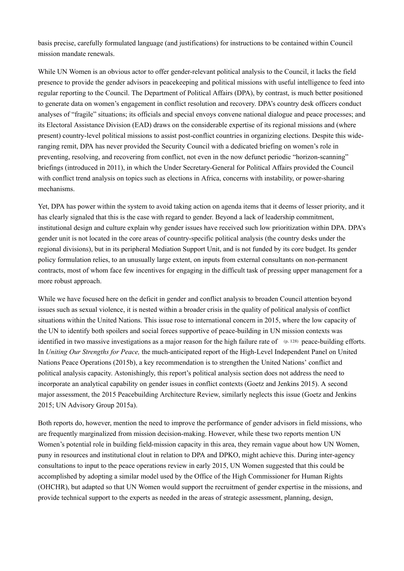basis precise, carefully formulated language (and justifications) for instructions to be contained within Council mission mandate renewals.

While UN Women is an obvious actor to offer gender-relevant political analysis to the Council, it lacks the field presence to provide the gender advisors in peacekeeping and political missions with useful intelligence to feed into regular reporting to the Council. The Department of Political Affairs (DPA), by contrast, is much better positioned to generate data on women's engagement in conflict resolution and recovery. DPA's country desk officers conduct analyses of "fragile" situations; its officials and special envoys convene national dialogue and peace processes; and its Electoral Assistance Division (EAD) draws on the considerable expertise of its regional missions and (where present) country-level political missions to assist post-conflict countries in organizing elections. Despite this wideranging remit, DPA has never provided the Security Council with a dedicated briefing on women's role in preventing, resolving, and recovering from conflict, not even in the now defunct periodic "horizon-scanning" briefings (introduced in 2011), in which the Under Secretary-General for Political Affairs provided the Council with conflict trend analysis on topics such as elections in Africa, concerns with instability, or power-sharing mechanisms.

Yet, DPA has power within the system to avoid taking action on agenda items that it deems of lesser priority, and it has clearly signaled that this is the case with regard to gender. Beyond a lack of leadership commitment, institutional design and culture explain why gender issues have received such low prioritization within DPA. DPA's gender unit is not located in the core areas of country-specific political analysis (the country desks under the regional divisions), but in its peripheral Mediation Support Unit, and is not funded by its core budget. Its gender policy formulation relies, to an unusually large extent, on inputs from external consultants on non-permanent contracts, most of whom face few incentives for engaging in the difficult task of pressing upper management for a more robust approach.

While we have focused here on the deficit in gender and conflict analysis to broaden Council attention beyond issues such as sexual violence, it is nested within a broader crisis in the quality of political analysis of conflict situations within the United Nations. This issue rose to international concern in 2015, where the low capacity of the UN to identify both spoilers and social forces supportive of peace-building in UN mission contexts was identified in two massive investigations as a major reason for the high failure rate of **(p. 128)** peace-building efforts. In *Uniting Our Strengths for Peace,* the much-anticipated report of the High-Level Independent Panel on United Nations Peace Operations (2015b), a key recommendation is to strengthen the United Nations' conflict and political analysis capacity. Astonishingly, this report's political analysis section does not address the need to incorporate an analytical capability on gender issues in conflict contexts ([Goetz and Jenkins 2015](#page-10-8)). A second [major assessment, the 2015 Peacebuilding Architecture Review, similarly neglects this issue \(Goetz and Jenkins](#page-10-8) 2015; [UN Advisory Group 2015a\)](#page-11-6).

Both reports do, however, mention the need to improve the performance of gender advisors in field missions, who are frequently marginalized from mission decision-making. However, while these two reports mention UN Women's potential role in building field-mission capacity in this area, they remain vague about how UN Women, puny in resources and institutional clout in relation to DPA and DPKO, might achieve this. During inter-agency consultations to input to the peace operations review in early 2015, UN Women suggested that this could be accomplished by adopting a similar model used by the Office of the High Commissioner for Human Rights (OHCHR), but adapted so that UN Women would support the recruitment of gender expertise in the missions, and provide technical support to the experts as needed in the areas of strategic assessment, planning, design,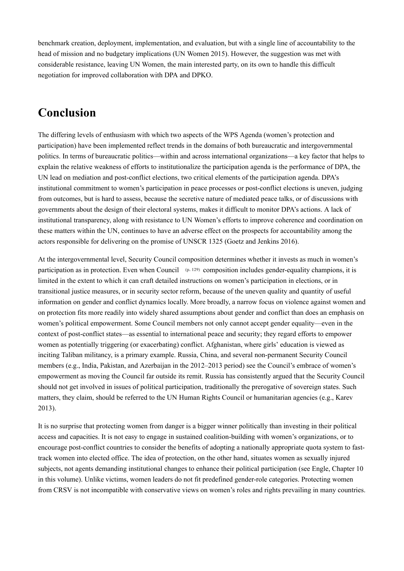benchmark creation, deployment, implementation, and evaluation, but with a single line of accountability to the head of mission and no budgetary implications ([UN Women 2015\)](#page-11-0). However, the suggestion was met with considerable resistance, leaving UN Women, the main interested party, on its own to handle this difficult negotiation for improved collaboration with DPA and DPKO.

## **Conclusion**

The differing levels of enthusiasm with which two aspects of the WPS Agenda (women's protection and participation) have been implemented reflect trends in the domains of both bureaucratic and intergovernmental politics. In terms of bureaucratic politics—within and across international organizations—a key factor that helps to explain the relative weakness of efforts to institutionalize the participation agenda is the performance of DPA, the UN lead on mediation and post-conflict elections, two critical elements of the participation agenda. DPA's institutional commitment to women's participation in peace processes or post-conflict elections is uneven, judging from outcomes, but is hard to assess, because the secretive nature of mediated peace talks, or of discussions with governments about the design of their electoral systems, makes it difficult to monitor DPA's actions. A lack of institutional transparency, along with resistance to UN Women's efforts to improve coherence and coordination on these matters within the UN, continues to have an adverse effect on the prospects for accountability among the actors responsible for delivering on the promise of UNSCR 1325 [\(Goetz and Jenkins 2016\)](#page-10-9).

At the intergovernmental level, Security Council composition determines whether it invests as much in women's participation as in protection. Even when Council **(p. 129)** composition includes gender-equality champions, it is limited in the extent to which it can craft detailed instructions on women's participation in elections, or in transitional justice measures, or in security sector reform, because of the uneven quality and quantity of useful information on gender and conflict dynamics locally. More broadly, a narrow focus on violence against women and on protection fits more readily into widely shared assumptions about gender and conflict than does an emphasis on women's political empowerment. Some Council members not only cannot accept gender equality—even in the context of post-conflict states—as essential to international peace and security; they regard efforts to empower women as potentially triggering (or exacerbating) conflict. Afghanistan, where girls' education is viewed as inciting Taliban militancy, is a primary example. Russia, China, and several non-permanent Security Council members (e.g., India, Pakistan, and Azerbaijan in the 2012–2013 period) see the Council's embrace of women's empowerment as moving the Council far outside its remit. Russia has consistently argued that the Security Council should not get involved in issues of political participation, traditionally the prerogative of sovereign states. Such [matters, they claim, should be referred to the UN Human Rights Council or humanitarian agencies \(e.g., Karev](#page-10-10) 2013).

It is no surprise that protecting women from danger is a bigger winner politically than investing in their political access and capacities. It is not easy to engage in sustained coalition-building with women's organizations, or to encourage post-conflict countries to consider the benefits of adopting a nationally appropriate quota system to fasttrack women into elected office. The idea of protection, on the other hand, situates women as sexually injured subjects, not agents demanding institutional changes to enhance their political participation (see Engle, Chapter [10](http://www.oxfordhandbooks.com/view/10.1093/oxfordhb/9780199300983.001.0001/oxfordhb-9780199300983-e-11#) in this volume). Unlike victims, women leaders do not fit predefined gender-role categories. Protecting women from CRSV is not incompatible with conservative views on women's roles and rights prevailing in many countries.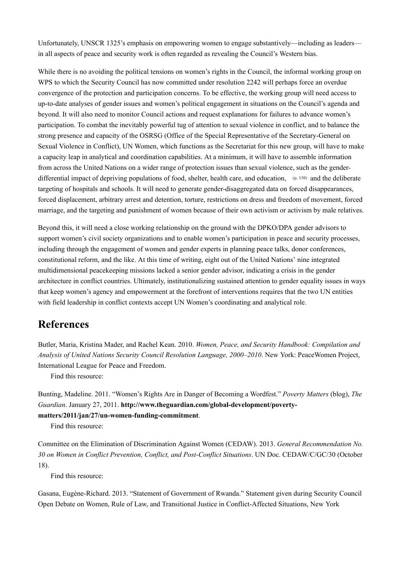Unfortunately, UNSCR 1325's emphasis on empowering women to engage substantively—including as leaders in all aspects of peace and security work is often regarded as revealing the Council's Western bias.

While there is no avoiding the political tensions on women's rights in the Council, the informal working group on WPS to which the Security Council has now committed under resolution 2242 will perhaps force an overdue convergence of the protection and participation concerns. To be effective, the working group will need access to up-to-date analyses of gender issues and women's political engagement in situations on the Council's agenda and beyond. It will also need to monitor Council actions and request explanations for failures to advance women's participation. To combat the inevitably powerful tug of attention to sexual violence in conflict, and to balance the strong presence and capacity of the OSRSG (Office of the Special Representative of the Secretary-General on Sexual Violence in Conflict), UN Women, which functions as the Secretariat for this new group, will have to make a capacity leap in analytical and coordination capabilities. At a minimum, it will have to assemble information from across the United Nations on a wider range of protection issues than sexual violence, such as the genderdifferential impact of depriving populations of food, shelter, health care, and education, **(p. 130)** and the deliberate targeting of hospitals and schools. It will need to generate gender-disaggregated data on forced disappearances, forced displacement, arbitrary arrest and detention, torture, restrictions on dress and freedom of movement, forced marriage, and the targeting and punishment of women because of their own activism or activism by male relatives.

Beyond this, it will need a close working relationship on the ground with the DPKO/DPA gender advisors to support women's civil society organizations and to enable women's participation in peace and security processes, including through the engagement of women and gender experts in planning peace talks, donor conferences, constitutional reform, and the like. At this time of writing, eight out of the United Nations' nine integrated multidimensional peacekeeping missions lacked a senior gender advisor, indicating a crisis in the gender architecture in conflict countries. Ultimately, institutionalizing sustained attention to gender equality issues in ways that keep women's agency and empowerment at the forefront of interventions requires that the two UN entities with field leadership in conflict contexts accept UN Women's coordinating and analytical role.

### **References**

<span id="page-9-0"></span>Butler, Maria, Kristina Mader, and Rachel Kean. 2010. *Women, Peace, and Security Handbook: Compilation and Analysis of United Nations Security Council Resolution Language, 2000–2010*. New York: PeaceWomen Project, International League for Peace and Freedom.

Find this resource:

<span id="page-9-2"></span>Bunting, Madeline. 2011. "Women's Rights Are in Danger of Becoming a Wordfest." *Poverty Matters* (blog), *The Guardian*. January 27, 2011. **[http://www.theguardian.com/global-development/poverty](http://www.theguardian.com/global-development/poverty-matters/2011/jan/27/un-women-funding-commitment)matters/2011/jan/27/un-women-funding-commitment**.

Find this resource:

<span id="page-9-3"></span>Committee on the Elimination of Discrimination Against Women (CEDAW). 2013. *General Recommendation No. 30 on Women in Conflict Prevention, Conflict, and Post-Conflict Situations*. UN Doc. CEDAW/C/GC/30 (October 18).

Find this resource:

<span id="page-9-1"></span>Gasana, Eugène-Richard. 2013. "Statement of Government of Rwanda." Statement given during Security Council Open Debate on Women, Rule of Law, and Transitional Justice in Conflict-Affected Situations, New York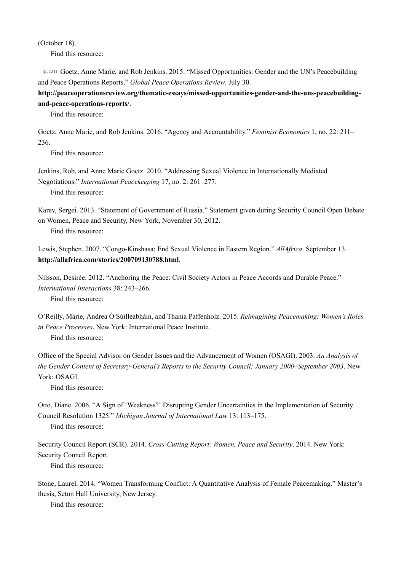(October 18).

Find this resource:

<span id="page-10-8"></span>**(p. 131)** Goetz, Anne Marie, and Rob Jenkins. 2015. "Missed Opportunities: Gender and the UN's Peacebuilding and Peace Operations Reports." *Global Peace Operations Review*. July 30.

**[http://peaceoperationsreview.org/thematic-essays/missed-opportunities-gender-and-the-uns-peacebuilding](http://peaceoperationsreview.org/thematic-essays/missed-opportunities-gender-and-the-uns-peacebuilding-and-peace-operations-reports/)and-peace-operations-reports/**.

Find this resource:

<span id="page-10-9"></span>Goetz, Anne Marie, and Rob Jenkins. 2016. "Agency and Accountability." *Feminist Economics* 1, no. 22: 211– 236.

Find this resource:

<span id="page-10-0"></span>Jenkins, Rob, and Anne Marie Goetz. 2010. "Addressing Sexual Violence in Internationally Mediated Negotiations." *International Peacekeeping* 17, no. 2: 261–277.

Find this resource:

<span id="page-10-10"></span>Karev, Sergei. 2013. "Statement of Government of Russia." Statement given during Security Council Open Debate on Women, Peace and Security, New York, November 30, 2012.

Find this resource:

<span id="page-10-5"></span>Lewis, Stephen. 2007. "Congo-Kinshasa: End Sexual Violence in Eastern Region." *AllAfrica*. September 13. **<http://allafrica.com/stories/200709130788.html>**.

<span id="page-10-2"></span>Nilsson, Desirée. 2012. "Anchoring the Peace: Civil Society Actors in Peace Accords and Durable Peace." *International Interactions* 38: 243–266.

Find this resource:

<span id="page-10-3"></span>O'Reilly, Marie, Andrea Ó Súilleabháin, and Thania Paffenholz. 2015. *Reimagining Peacemaking: Women's Roles in Peace Processes*. New York: International Peace Institute.

Find this resource:

<span id="page-10-6"></span>Office of the Special Advisor on Gender Issues and the Advancement of Women (OSAGI). 2003. *An Analysis of the Gender Content of Secretary-General's Reports to the Security Council: January 2000–September 2003*. New York: OSAGI.

Find this resource:

<span id="page-10-1"></span>Otto, Diane. 2006. "A Sign of 'Weakness?' Disrupting Gender Uncertainties in the Implementation of Security Council Resolution 1325." *Michigan Journal of International Law* 13: 113–175. Find this resource:

<span id="page-10-7"></span>Security Council Report (SCR). 2014. *Cross-Cutting Report: Women, Peace and Security*. 2014. New York: Security Council Report.

Find this resource:

<span id="page-10-4"></span>Stone, Laurel. 2014. "Women Transforming Conflict: A Quantitative Analysis of Female Peacemaking." Master's thesis, Seton Hall University, New Jersey.

Find this resource: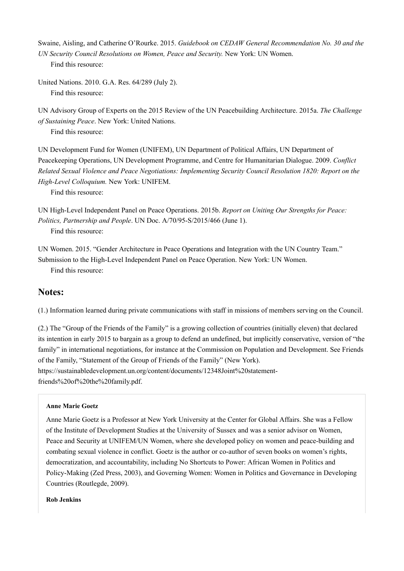<span id="page-11-5"></span>Swaine, Aisling, and Catherine O'Rourke. 2015. *Guidebook on CEDAW General Recommendation No. 30 and the UN Security Council Resolutions on Women, Peace and Security.* New York: UN Women. Find this resource:

<span id="page-11-4"></span>United Nations. 2010. G.A. Res. 64/289 (July 2). Find this resource:

<span id="page-11-6"></span>UN Advisory Group of Experts on the 2015 Review of the UN Peacebuilding Architecture. 2015a. *The Challenge of Sustaining Peace*. New York: United Nations.

Find this resource:

<span id="page-11-1"></span>UN Development Fund for Women (UNIFEM), UN Department of Political Affairs, UN Department of Peacekeeping Operations, UN Development Programme, and Centre for Humanitarian Dialogue. 2009. *Conflict Related Sexual Violence and Peace Negotiations: Implementing Security Council Resolution 1820: Report on the High-Level Colloquium.* New York: UNIFEM.

Find this resource:

UN High-Level Independent Panel on Peace Operations. 2015b. *Report on Uniting Our Strengths for Peace: Politics, Partnership and People*. UN Doc. A/70/95-S/2015/466 (June 1). Find this resource:

<span id="page-11-0"></span>UN Women. 2015. "Gender Architecture in Peace Operations and Integration with the UN Country Team." Submission to the High-Level Independent Panel on Peace Operation. New York: UN Women.

Find this resource:

#### **Notes:**

<span id="page-11-2"></span>([1.](#page-4-0)) Information learned during private communications with staff in missions of members serving on the Council.

<span id="page-11-3"></span>([2.](#page-5-0)) The "Group of the Friends of the Family" is a growing collection of countries (initially eleven) that declared its intention in early 2015 to bargain as a group to defend an undefined, but implicitly conservative, version of "the family" in international negotiations, for instance at the Commission on Population and Development. See Friends of the Family, "Statement of the Group of Friends of the Family" (New York). [https://sustainabledevelopment.un.org/content/documents/12348Joint%20statement](https://sustainabledevelopment.un.org/content/documents/12348Joint%20statement-friends%20of%20the%20family.pdf)friends%20of%20the%20family.pdf.

#### **Anne Marie Goetz**

Anne Marie Goetz is a Professor at New York University at the Center for Global Affairs. She was a Fellow of the Institute of Development Studies at the University of Sussex and was a senior advisor on Women, Peace and Security at UNIFEM/UN Women, where she developed policy on women and peace-building and combating sexual violence in conflict. Goetz is the author or co-author of seven books on women's rights, democratization, and accountability, including No Shortcuts to Power: African Women in Politics and Policy-Making (Zed Press, 2003), and Governing Women: Women in Politics and Governance in Developing Countries (Routlegde, 2009).

#### **Rob Jenkins**